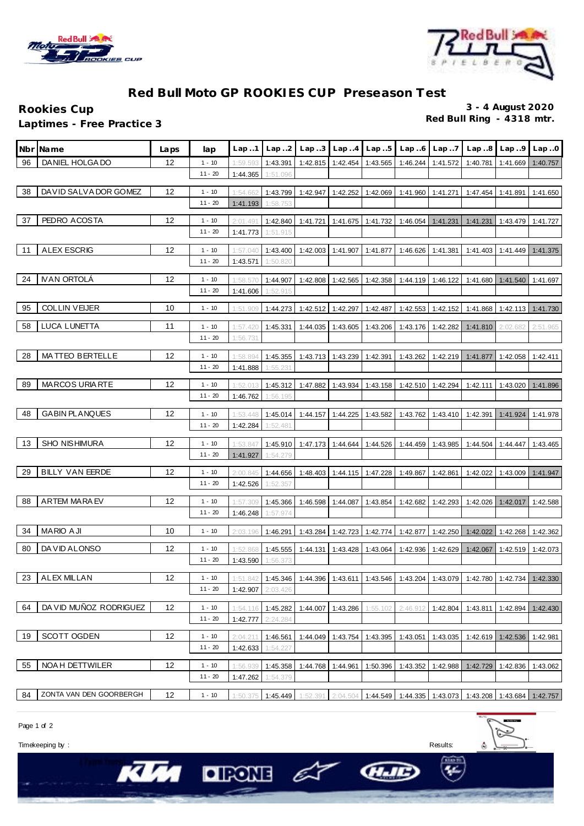



## **Red Bull Moto GP ROOKIES CUP Preseason Test**

**Rookies Cup 3 - 4 August 2020 Laptimes - Free Practice 3** 

|    | Nbr¶Name                | Laps | lap                   | Lap.1                | Lap.2                | Lap.3    |                            | $Lap. .4$ $Lap. .5$ | Lap.6    | Lap.7    | Lap.8    | Lap.9                                                                                            | Lap.0    |
|----|-------------------------|------|-----------------------|----------------------|----------------------|----------|----------------------------|---------------------|----------|----------|----------|--------------------------------------------------------------------------------------------------|----------|
| 96 | DANIEL HOLGA DO         | 12   | $1 - 10$              | 1:59.593             | 1:43.391             |          | 1:42.815   1:42.454        | 1:43.565            | 1:46.244 | 1:41.572 | 1:40.781 | 1:41.669                                                                                         | 1:40.757 |
|    |                         |      | $11 - 20$             | 1:44.365             | 1:51.096             |          |                            |                     |          |          |          |                                                                                                  |          |
| 38 | DAVID SALVA DOR GOMEZ   | 12   | $1 - 10$              | 1:54.662             | 1:43.799             | 1:42.947 | 1:42.252                   | 1:42.069            | 1:41.960 | 1:41.271 | 1:47.454 | 1:41.891                                                                                         | 1:41.650 |
|    |                         |      | $11 - 20$             | 1:41.193             | 1:58.753             |          |                            |                     |          |          |          |                                                                                                  |          |
| 37 | PEDRO ACOSTA            | 12   | $1 - 10$              | 2:01.491             | 1:42.840             | 1:41.721 | 1:41.675                   | 1:41.732            | 1:46.054 | 1:41.231 | 1:41.231 | 1:43.479                                                                                         | 1:41.727 |
|    |                         |      | $11 - 20$             | 1:41.773             | 1:51.915             |          |                            |                     |          |          |          |                                                                                                  |          |
|    |                         |      |                       |                      |                      |          |                            |                     |          |          |          |                                                                                                  |          |
| 11 | <b>ALEX ESCRIG</b>      | 12   | $1 - 10$              | 1:57.040             | 1:43.400             | 1:42.003 | 1:41.907                   | 1:41.877            | 1:46.626 | 1:41.381 | 1:41.403 | 1:41.449                                                                                         | 1:41.375 |
|    |                         |      | $11 - 20$             | 1:43.571             | 1:50.820             |          |                            |                     |          |          |          |                                                                                                  |          |
| 24 | <b>IVAN ORTOLÁ</b>      | 12   | $1 - 10$              | 1:58.57              | 1:44.907             | 1:42.808 | 1:42.565                   | 1:42.358            | 1:44.119 | 1:46.122 | 1:41.680 | 1:41.540                                                                                         | 1:41.697 |
|    |                         |      | $11 - 20$             | 1:41.606             | 1:52.915             |          |                            |                     |          |          |          |                                                                                                  |          |
| 95 | <b>COLLIN VEIJER</b>    | 10   | $1 - 10$              | 1:51.909             | 1:44.273             | 1:42.512 | 1:42.297                   | 1:42.487            | 1:42.553 | 1:42.152 | 1:41.868 | 1:42.113 1:41.730                                                                                |          |
| 58 | LUCA LUNETTA            | 11   | $1 - 10$              | 1:57.420             | 1:45.331             | 1:44.035 | 1:43.605                   | 1:43.206            | 1:43.176 | 1:42.282 | 1:41.810 | 2:02.682                                                                                         | 2:51.965 |
|    |                         |      | $11 - 20$             | 1:56.731             |                      |          |                            |                     |          |          |          |                                                                                                  |          |
| 28 | <b>MATTEO BERTELLE</b>  | 12   |                       |                      |                      |          |                            |                     |          |          |          |                                                                                                  |          |
|    |                         |      | $1 - 10$<br>$11 - 20$ | 1:58.894<br>1:41.888 | 1:45.355<br>1:55.231 | 1:43.713 | 1:43.239                   | 1:42.391            | 1:43.262 | 1:42.219 | 1:41.877 | 1:42.058                                                                                         | 1:42.411 |
|    |                         |      |                       |                      |                      |          |                            |                     |          |          |          |                                                                                                  |          |
| 89 | <b>MARCOS URIARTE</b>   | 12   | $1 - 10$              | 1:52.01              | 1:45.312             | 1:47.882 | 1:43.934                   | 1:43.158            | 1:42.510 | 1:42.294 | 1:42.111 | 1:43.020                                                                                         | 1:41.896 |
|    |                         |      | $11 - 20$             | 1:46.762             | 1:56.195             |          |                            |                     |          |          |          |                                                                                                  |          |
| 48 | <b>GABIN PLANQUES</b>   | 12   | $1 - 10$              | 1:53.448             | 1:45.014             | 1:44.157 | 1:44.225                   | 1:43.582            | 1:43.762 | 1:43.410 | 1:42.391 | 1:41.924                                                                                         | 1:41.978 |
|    |                         |      | $11 - 20$             | 1:42.284             | 1:52.481             |          |                            |                     |          |          |          |                                                                                                  |          |
| 13 | SHO NISHIMURA           | 12   | $1 - 10$              | 1:53.847             | 1:45.910             | 1:47.173 | 1:44.644                   | 1:44.526            | 1:44.459 | 1:43.985 | 1:44.504 | 1:44.447                                                                                         | 1:43.465 |
|    |                         |      | $11 - 20$             | 1:41.927             | 1:54.279             |          |                            |                     |          |          |          |                                                                                                  |          |
| 29 | <b>BILLY VAN EERDE</b>  | 12   | $1 - 10$              | 2:00.845             | 1:44.656             |          | 1:48.403 1:44.115 1:47.228 |                     | 1:49.867 | 1:42.861 | 1:42.022 | 1:43.009 1:41.947                                                                                |          |
|    |                         |      | $11 - 20$             | 1:42.526             | 1:52.357             |          |                            |                     |          |          |          |                                                                                                  |          |
| 88 | <b>ARTEM MARAEV</b>     | 12   | $1 - 10$              | 1:57.309             | 1:45.366             | 1:46.598 | 1:44.087                   | 1:43.854            | 1:42.682 | 1:42.293 | 1:42.026 | 1:42.017                                                                                         | 1:42.588 |
|    |                         |      | $11 - 20$             | 1:46.248             | 1:57.974             |          |                            |                     |          |          |          |                                                                                                  |          |
|    |                         |      |                       |                      |                      |          |                            |                     |          |          |          |                                                                                                  |          |
| 34 | <b>MARIO AJI</b>        | 10   | $1 - 10$              | 2:03.196             | 1:46.291             | 1:43.284 | 1:42.723                   | 1:42.774            | 1:42.877 | 1:42.250 | 1:42.022 | 1:42.268                                                                                         | 1:42.362 |
| 80 | DA VID ALONSO           | 12   | $1 - 10$              | 1:52.868             | 1:45.555             | 1:44.131 | 1:43.428                   | 1:43.064            | 1:42.936 | 1:42.629 | 1:42.067 | 1:42.519                                                                                         | 1:42.073 |
|    |                         |      | $11 - 20$             | 1:43.590             | 1:56.373             |          |                            |                     |          |          |          |                                                                                                  |          |
|    | 23 ALEX MILLAN          | 12   | $1 - 10$              | 1:51.842             |                      |          |                            |                     |          |          |          | 1:45.346   1:44.396   1:43.611   1:43.546   1:43.204   1:43.079   1:42.780   1:42.734   1:42.330 |          |
|    |                         |      | $11 - 20$             | 1:42.907             | 2:03.426             |          |                            |                     |          |          |          |                                                                                                  |          |
| 64 | DA VID MUÑOZ RODRIGUEZ  | 12   | $1 - 10$              | 1:54.116             | 1:45.282             |          | 1:44.007 1:43.286          | 1:55.102            | 2:46.912 | 1:42.804 |          | 1:43.811   1:42.894   1:42.430                                                                   |          |
|    |                         |      | $11 - 20$             | 1:42.777             | 2:24.284             |          |                            |                     |          |          |          |                                                                                                  |          |
| 19 | SCOTT OGDEN             | 12   | $1 - 10$              | 2:04.211             | 1:46.561             | 1:44.049 | 1:43.754                   | 1:43.395            | 1:43.051 | 1:43.035 |          | 1:42.619   1:42.536                                                                              | 1:42.981 |
|    |                         |      | $11 - 20$             | 1:42.633             | 1:54.227             |          |                            |                     |          |          |          |                                                                                                  |          |
|    |                         |      |                       |                      |                      |          |                            |                     |          |          |          |                                                                                                  |          |
| 55 | NOA H DETTWILER         | 12   | $1 - 10$<br>$11 - 20$ | 1:56.939             | 1:45.358             | 1:44.768 | 1:44.961                   | 1:50.396            | 1:43.352 | 1:42.988 | 1:42.729 | 1:42.836                                                                                         | 1:43.062 |
|    |                         |      |                       | 1:47.262             | 1:54.379             |          |                            |                     |          |          |          |                                                                                                  |          |
| 84 | ZONTA VAN DEN GOORBERGH | 12   | $1 - 10$              | 1:50.375             | 1:45.449             |          |                            |                     |          |          |          | $1:52.391$ 2:04.504 1:44.549 1:44.335 1:43.073 1:43.208 1:43.684 1:42.757                        |          |

Page 1 of 2

Timekeeping by : Results:

KIM

 $\Box$   $\Box$ 

 $\hat{\mathbf{a}}$ 

HIE